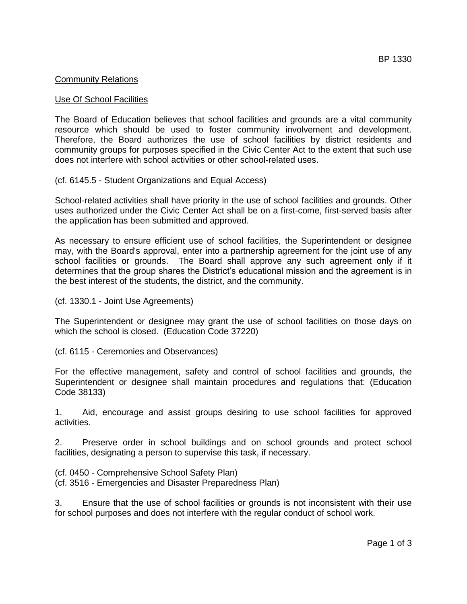# Community Relations

#### Use Of School Facilities

The Board of Education believes that school facilities and grounds are a vital community resource which should be used to foster community involvement and development. Therefore, the Board authorizes the use of school facilities by district residents and community groups for purposes specified in the Civic Center Act to the extent that such use does not interfere with school activities or other school-related uses.

(cf. 6145.5 - Student Organizations and Equal Access)

School-related activities shall have priority in the use of school facilities and grounds. Other uses authorized under the Civic Center Act shall be on a first-come, first-served basis after the application has been submitted and approved.

As necessary to ensure efficient use of school facilities, the Superintendent or designee may, with the Board's approval, enter into a partnership agreement for the joint use of any school facilities or grounds. The Board shall approve any such agreement only if it determines that the group shares the District's educational mission and the agreement is in the best interest of the students, the district, and the community.

(cf. 1330.1 - Joint Use Agreements)

The Superintendent or designee may grant the use of school facilities on those days on which the school is closed. (Education Code 37220)

(cf. 6115 - Ceremonies and Observances)

For the effective management, safety and control of school facilities and grounds, the Superintendent or designee shall maintain procedures and regulations that: (Education Code 38133)

1. Aid, encourage and assist groups desiring to use school facilities for approved activities.

2. Preserve order in school buildings and on school grounds and protect school facilities, designating a person to supervise this task, if necessary.

(cf. 0450 - Comprehensive School Safety Plan) (cf. 3516 - Emergencies and Disaster Preparedness Plan)

3. Ensure that the use of school facilities or grounds is not inconsistent with their use for school purposes and does not interfere with the regular conduct of school work.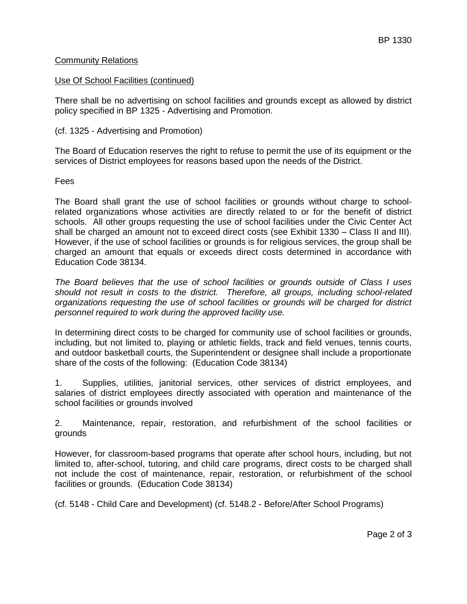# Community Relations

#### Use Of School Facilities (continued)

There shall be no advertising on school facilities and grounds except as allowed by district policy specified in BP 1325 - Advertising and Promotion.

# (cf. 1325 - Advertising and Promotion)

The Board of Education reserves the right to refuse to permit the use of its equipment or the services of District employees for reasons based upon the needs of the District.

#### Fees

The Board shall grant the use of school facilities or grounds without charge to schoolrelated organizations whose activities are directly related to or for the benefit of district schools. All other groups requesting the use of school facilities under the Civic Center Act shall be charged an amount not to exceed direct costs (see Exhibit 1330 – Class II and III). However, if the use of school facilities or grounds is for religious services, the group shall be charged an amount that equals or exceeds direct costs determined in accordance with Education Code 38134.

*The Board believes that the use of school facilities or grounds outside of Class I uses should not result in costs to the district. Therefore, all groups, including school-related organizations requesting the use of school facilities or grounds will be charged for district personnel required to work during the approved facility use.*

In determining direct costs to be charged for community use of school facilities or grounds, including, but not limited to, playing or athletic fields, track and field venues, tennis courts, and outdoor basketball courts, the Superintendent or designee shall include a proportionate share of the costs of the following: (Education Code 38134)

1. Supplies, utilities, janitorial services, other services of district employees, and salaries of district employees directly associated with operation and maintenance of the school facilities or grounds involved

2. Maintenance, repair, restoration, and refurbishment of the school facilities or grounds

However, for classroom-based programs that operate after school hours, including, but not limited to, after-school, tutoring, and child care programs, direct costs to be charged shall not include the cost of maintenance, repair, restoration, or refurbishment of the school facilities or grounds. (Education Code 38134)

(cf. 5148 - Child Care and Development) (cf. 5148.2 - Before/After School Programs)